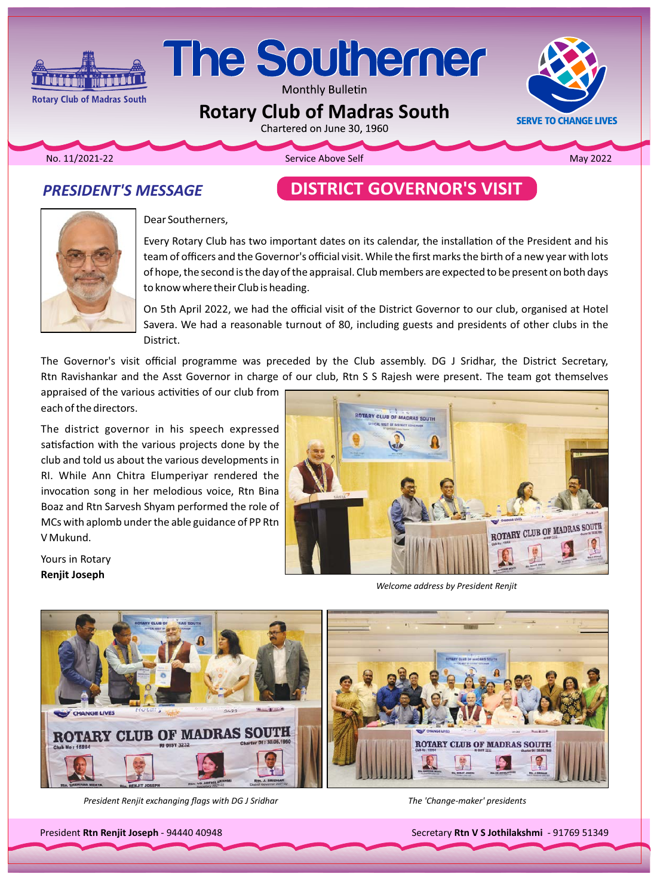# The Southerner

Monthly Bulletin

## **Rotary Club of Madras South**<br>Chartered on June 30, 1960



2022 Mo. 11/2021-22 **Mo. 2022** Service Above Self **Above Service Above Self** 

**Rotary Club of Madras South** 

## **PRESIDENT'S MESSAGE**

ا ئىۋۇزۇر

## **DISTRICT GOVERNOR'S VISIT**



Yours in Rotary **Renjit Joseph** 

Dear Southerners,

Every Rotary Club has two important dates on its calendar, the installation of the President and his team of officers and the Governor's official visit. While the first marks the birth of a new year with lots of hope, the second is the day of the appraisal. Club members are expected to be present on both days to know where their Club is heading.

On 5th April 2022, we had the official visit of the District Governor to our club, organised at Hotel Savera. We had a reasonable turnout of 80, including guests and presidents of other clubs in the District.

The Governor's visit official programme was preceded by the Club assembly. DG J Sridhar, the District Secretary, Rtn Ravishankar and the Asst Governor in charge of our club, Rtn S S Rajesh were present. The team got themselves

appraised of the various activities of our club from each of the directors.

The district governor in his speech expressed satisfaction with the various projects done by the club and told us about the various developments in RI. While Ann Chitra Elumperiyar rendered the invocation song in her melodious voice, Rtn Bina Boaz and Rtn Sarvesh Shyam performed the role of MCs with aplomb under the able guidance of PP Rtn V Mukund.



**Welcome address by President Renjit** 



*President Renjit exchanging flags with DG J Sridhar J DG with the 'Change-maker' presidents* 

President Rtn Renjit Joseph - 94440 40948

Secretary Rtn V S Jothilakshmi - 91769 51349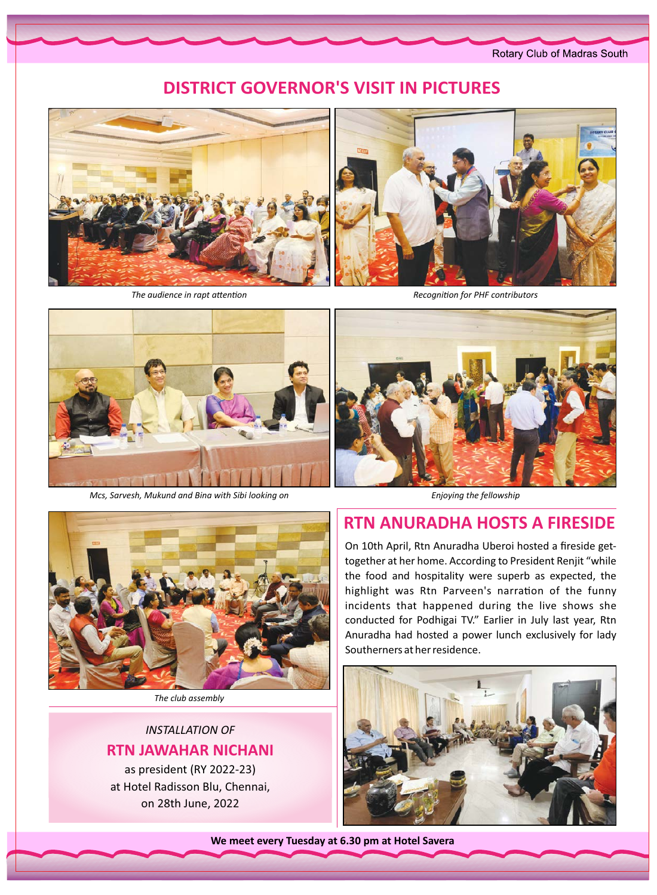Rotary Club of Madras South

## **DISTRICT GOVERNOR'S VISIT IN PICTURES**



The audience in rapt attention



**Recognition for PHF contributors** 



Mcs, Sarvesh, Mukund and Bina with Sibi looking on



The club assembly

**INSTALLATION OF RTN JAWAHAR NICHANI** 

as president (RY 2022-23) at Hotel Radisson Blu, Chennai, on 28th June, 2022

Enjoying the fellowship

## **RTN ANURADHA HOSTS A FIRESIDE**

On 10th April, Rtn Anuradha Uberoi hosted a fireside gettogether at her home. According to President Renjit "while the food and hospitality were superb as expected, the highlight was Rtn Parveen's narration of the funny incidents that happened during the live shows she conducted for Podhigai TV." Earlier in July last year, Rtn Anuradha had hosted a power lunch exclusively for lady Southerners at her residence.



We meet every Tuesday at 6.30 pm at Hotel Savera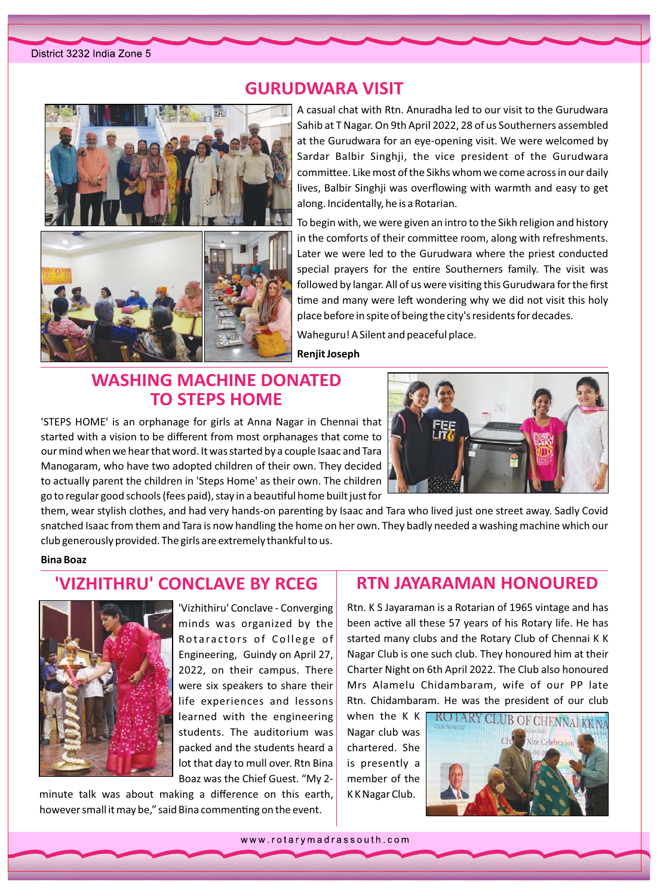

## **GURUDWARA VISIT**

A casual chat with Rtn. Anuradha led to our visit to the Gurudwara Sahib at T Nagar. On 9th April 2022, 28 of us Southerners assembled at the Gurudwara for an eye-opening visit. We were welcomed by Sardar Balbir Singhji, the vice president of the Gurudwara committee. Like most of the Sikhs whom we come across in our daily lives, Balbir Singhji was overflowing with warmth and easy to get along. Incidentally, he is a Rotarian.

To begin with, we were given an intro to the Sikh religion and history in the comforts of their committee room, along with refreshments. Later we were led to the Gurudwara where the priest conducted special prayers for the entire Southerners family. The visit was followed by langar. All of us were visiting this Gurudwara for the first time and many were left wondering why we did not visit this holy place before in spite of being the city's residents for decades.

Waheguru! A Silent and peaceful place.

## **WASHING MACHINE DONATED TO STEPS HOME**

'STEPS HOME' is an orphanage for girls at Anna Nagar in Chennai that started with a vision to be different from most orphanages that come to our mind when we hear that word. It was started by a couple Isaac and Tara Manogaram, who have two adopted children of their own. They decided to actually parent the children in 'Steps Home' as their own. The children go to regular good schools (fees paid), stay in a beautiful home built just for



them, wear stylish clothes, and had very hands-on parenting by Isaac and Tara who lived just one street away. Sadly Covid snatched Isaac from them and Tara is now handling the home on her own. They badly needed a washing machine which our club generously provided. The girls are extremely thankful to us.

**Renjit Joseph** 

#### **Bina Boaz**

## 'VIZHITHRU' CONCLAVE BY RCEG



'Vizhithiru' Conclave - Converging minds was organized by the Rotaractors of College of Engineering, Guindy on April 27, 2022, on their campus. There were six speakers to share their life experiences and lessons learned with the engineering students. The auditorium was packed and the students heard a lot that day to mull over. Rtn Bina Boaz was the Chief Guest. "My 2-

minute talk was about making a difference on this earth, however small it may be," said Bina commenting on the event.

## **RTN JAYARAMAN HONOURED**

Rtn. K S Jayaraman is a Rotarian of 1965 vintage and has been active all these 57 years of his Rotary life. He has started many clubs and the Rotary Club of Chennai K K Nagar Club is one such club. They honoured him at their Charter Night on 6th April 2022. The Club also honoured Mrs Alamelu Chidambaram, wife of our PP late Rtn. Chidambaram. He was the president of our club

when the K K Nagar club was chartered. She is presently a member of the KK Nagar Club.



www.rotarymadrassouth.com